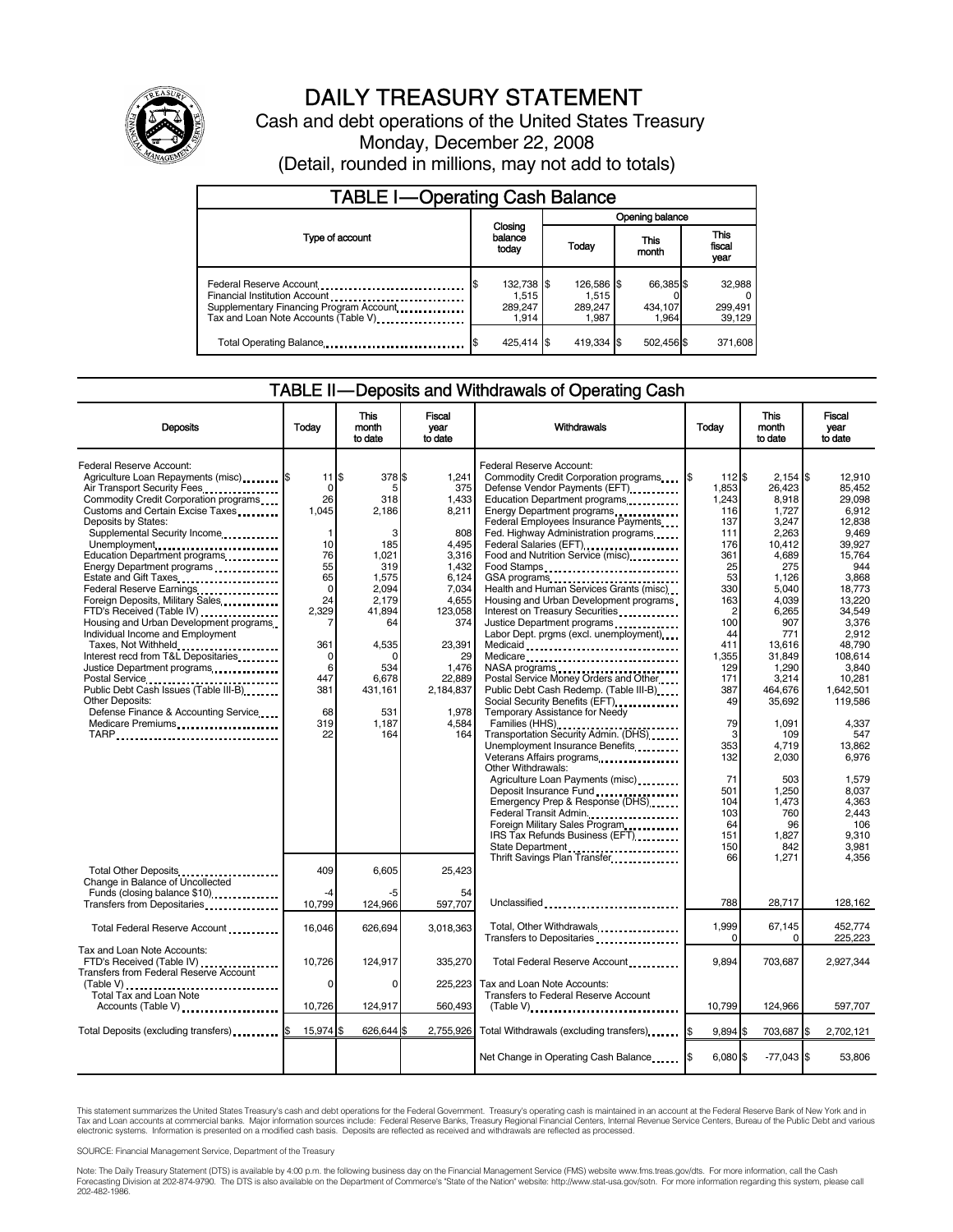

# DAILY TREASURY STATEMENT

Cash and debt operations of the United States Treasury Monday, December 22, 2008 (Detail, rounded in millions, may not add to totals)

| <b>TABLE I-Operating Cash Balance</b> |                                         |                  |                                         |               |                               |                               |                             |
|---------------------------------------|-----------------------------------------|------------------|-----------------------------------------|---------------|-------------------------------|-------------------------------|-----------------------------|
|                                       |                                         |                  | Opening balance                         |               |                               |                               |                             |
| Type of account                       | balance<br>today                        | Closing<br>Today |                                         | This<br>month |                               | <b>This</b><br>fiscal<br>year |                             |
|                                       | 132,738 \$<br>1.515<br>289.247<br>1.914 |                  | 126,586 \$<br>1.515<br>289,247<br>1.987 |               | 66,385 \$<br>434,107<br>1.964 |                               | 32,988<br>299,491<br>39,129 |
| Total Operating Balance               | 425.414 \$                              |                  | 419,334 \$                              |               | 502,456 \$                    |                               | 371,608                     |

#### TABLE II — Deposits and Withdrawals of Operating Cash

| <b>Deposits</b>                                                                                                                                                                                                                                                                                                                                                                                                                                                                                                                                                                                                                                                                                                                                                  | Todav                                                                                                                                                               | This<br>month<br>to date                                                                                                                                           | <b>Fiscal</b><br>vear<br>to date                                                                                                                                                       | Withdrawals                                                                                                                                                                                                                                                                                                                                                                                                                                                                                                                                                                                                                                                                                                                                                                                                                                    | Today                                                                                                                                                                              | This<br>month<br>to date                                                                                                                                                                                                           | Fiscal<br>vear<br>to date                                                                                                                                                                                                                     |
|------------------------------------------------------------------------------------------------------------------------------------------------------------------------------------------------------------------------------------------------------------------------------------------------------------------------------------------------------------------------------------------------------------------------------------------------------------------------------------------------------------------------------------------------------------------------------------------------------------------------------------------------------------------------------------------------------------------------------------------------------------------|---------------------------------------------------------------------------------------------------------------------------------------------------------------------|--------------------------------------------------------------------------------------------------------------------------------------------------------------------|----------------------------------------------------------------------------------------------------------------------------------------------------------------------------------------|------------------------------------------------------------------------------------------------------------------------------------------------------------------------------------------------------------------------------------------------------------------------------------------------------------------------------------------------------------------------------------------------------------------------------------------------------------------------------------------------------------------------------------------------------------------------------------------------------------------------------------------------------------------------------------------------------------------------------------------------------------------------------------------------------------------------------------------------|------------------------------------------------------------------------------------------------------------------------------------------------------------------------------------|------------------------------------------------------------------------------------------------------------------------------------------------------------------------------------------------------------------------------------|-----------------------------------------------------------------------------------------------------------------------------------------------------------------------------------------------------------------------------------------------|
| Federal Reserve Account:<br>Agriculture Loan Repayments (misc) \$<br>Air Transport Security Fees<br>Commodity Credit Corporation programs<br>Customs and Certain Excise Taxes<br>Deposits by States:<br>Supplemental Security Income<br>Unemployment<br>Education Department programs<br>Energy Department programs<br>Estate and Gift Taxes<br><br>Federal Reserve Earnings<br>Foreign Deposits, Military Sales<br>FTD's Received (Table IV)<br>Housing and Urban Development programs<br>Individual Income and Employment<br>Taxes, Not Withheld<br>Interest recd from T&L Depositaries<br>Justice Department programs<br>Public Debt Cash Issues (Table III-B)<br><b>Other Deposits:</b><br>Defense Finance & Accounting Service<br>Medicare Premiums<br>TARP | $11$ $\frac{1}{3}$<br>0<br>26<br>1.045<br>$\mathbf{1}$<br>10<br>76<br>55<br>65<br>$\mathbf 0$<br>24<br>2.329<br>7<br>361<br>0<br>6<br>447<br>381<br>68<br>319<br>22 | 378 \$<br>5<br>318<br>2,186<br>3<br>185<br>1,021<br>319<br>1.575<br>2,094<br>2.179<br>41.894<br>64<br>4,535<br>0<br>534<br>6.678<br>431.161<br>531<br>1.187<br>164 | 1.241<br>375<br>1,433<br>8,211<br>808<br>4.495<br>3,316<br>1.432<br>6,124<br>7,034<br>4,655<br>123.058<br>374<br>23,391<br>29<br>1,476<br>22.889<br>2,184,837<br>1.978<br>4,584<br>164 | Federal Reserve Account:<br>Commodity Credit Corporation programs<br>Defense Vendor Payments (EFT)<br>Education Department programs<br>Energy Department programs<br>Federal Employees Insurance Payments<br>Fed. Highway Administration programs<br>Federal Salaries (EFT)<br>Food and Nutrition Service (misc)<br>Food Stamps<br>Health and Human Services Grants (misc)<br>Housing and Urban Development programs<br>Interest on Treasury Securities<br>Justice Department programs<br>Labor Dept. prgms (excl. unemployment)<br>Medicaid<br>Medicare<br>NASA programs<br>Postal Service Money Orders and Other<br>Public Debt Cash Redemp. (Table III-B)<br>Temporary Assistance for Needy<br>Families (HHS)<br>Transportation Security Admin. (DHS)<br>Unemployment Insurance Benefits<br>Veterans Affairs programs<br>Other Withdrawals: | l\$<br>112 \$<br>1.853<br>1,243<br>116<br>137<br>111<br>176<br>361<br>25<br>53<br>330<br>163<br>2<br>100<br>44<br>411<br>1.355<br>129<br>171<br>387<br>49<br>79<br>3<br>353<br>132 | $2,154$ \\$<br>26.423<br>8,918<br>1,727<br>3.247<br>2,263<br>10,412<br>4,689<br>275<br>1.126<br>5,040<br>4,039<br>6,265<br>907<br>771<br>13,616<br>31,849<br>1,290<br>3.214<br>464.676<br>35,692<br>1.091<br>109<br>4.719<br>2,030 | 12.910<br>85.452<br>29.098<br>6.912<br>12.838<br>9.469<br>39.927<br>15.764<br>944<br>3.868<br>18,773<br>13.220<br>34.549<br>3,376<br>2.912<br>48.790<br>108.614<br>3.840<br>10.281<br>1.642.501<br>119,586<br>4.337<br>547<br>13.862<br>6,976 |
|                                                                                                                                                                                                                                                                                                                                                                                                                                                                                                                                                                                                                                                                                                                                                                  |                                                                                                                                                                     |                                                                                                                                                                    |                                                                                                                                                                                        | Agriculture Loan Payments (misc)<br>Emergency Prep & Response (DHS)<br>Federal Transit Admin<br>Foreign Military Sales Program<br>IRS Tax Refunds Business (EFT)<br>State Department<br>Thrift Savings Plan Transfer                                                                                                                                                                                                                                                                                                                                                                                                                                                                                                                                                                                                                           | 71<br>501<br>104<br>103<br>64<br>151<br>150<br>66                                                                                                                                  | 503<br>1.250<br>1,473<br>760<br>96<br>1.827<br>842<br>1.271                                                                                                                                                                        | 1,579<br>8.037<br>4.363<br>2.443<br>106<br>9.310<br>3.981<br>4.356                                                                                                                                                                            |
| Total Other Deposits<br>Change in Balance of Uncollected<br>Funds (closing balance \$10)<br>Transfers from Depositaries                                                                                                                                                                                                                                                                                                                                                                                                                                                                                                                                                                                                                                          | 409<br>$-4$<br>10,799                                                                                                                                               | 6,605<br>-5<br>124,966                                                                                                                                             | 25,423<br>54<br>597,707                                                                                                                                                                | Unclassified                                                                                                                                                                                                                                                                                                                                                                                                                                                                                                                                                                                                                                                                                                                                                                                                                                   | 788                                                                                                                                                                                | 28.717                                                                                                                                                                                                                             | 128,162                                                                                                                                                                                                                                       |
| Total Federal Reserve Account                                                                                                                                                                                                                                                                                                                                                                                                                                                                                                                                                                                                                                                                                                                                    | 16,046                                                                                                                                                              | 626,694                                                                                                                                                            | 3.018.363                                                                                                                                                                              | Total, Other Withdrawals<br>Transfers to Depositaries                                                                                                                                                                                                                                                                                                                                                                                                                                                                                                                                                                                                                                                                                                                                                                                          | 1,999<br>0                                                                                                                                                                         | 67,145<br>0                                                                                                                                                                                                                        | 452,774<br>225,223                                                                                                                                                                                                                            |
| Tax and Loan Note Accounts:<br>FTD's Received (Table IV)<br><b>Transfers from Federal Reserve Account</b>                                                                                                                                                                                                                                                                                                                                                                                                                                                                                                                                                                                                                                                        | 10,726                                                                                                                                                              | 124,917                                                                                                                                                            | 335,270                                                                                                                                                                                | Total Federal Reserve Account                                                                                                                                                                                                                                                                                                                                                                                                                                                                                                                                                                                                                                                                                                                                                                                                                  | 9,894                                                                                                                                                                              | 703,687                                                                                                                                                                                                                            | 2,927,344                                                                                                                                                                                                                                     |
| $(Table V)$<br>Total Tax and Loan Note<br>Accounts (Table V)                                                                                                                                                                                                                                                                                                                                                                                                                                                                                                                                                                                                                                                                                                     | $\Omega$<br>10,726                                                                                                                                                  | 0<br>124,917                                                                                                                                                       | 225.223<br>560,493                                                                                                                                                                     | Tax and Loan Note Accounts:<br>Transfers to Federal Reserve Account<br>$(Table V)$ ,                                                                                                                                                                                                                                                                                                                                                                                                                                                                                                                                                                                                                                                                                                                                                           | 10,799                                                                                                                                                                             | 124,966                                                                                                                                                                                                                            | 597,707                                                                                                                                                                                                                                       |
| Total Deposits (excluding transfers) [8]                                                                                                                                                                                                                                                                                                                                                                                                                                                                                                                                                                                                                                                                                                                         | 15.974 \$                                                                                                                                                           | 626.644 \$                                                                                                                                                         |                                                                                                                                                                                        | 2,755,926 Total Withdrawals (excluding transfers)                                                                                                                                                                                                                                                                                                                                                                                                                                                                                                                                                                                                                                                                                                                                                                                              | $9,894$ \$                                                                                                                                                                         | 703,687 \$                                                                                                                                                                                                                         | 2,702,121                                                                                                                                                                                                                                     |
|                                                                                                                                                                                                                                                                                                                                                                                                                                                                                                                                                                                                                                                                                                                                                                  |                                                                                                                                                                     |                                                                                                                                                                    |                                                                                                                                                                                        | Net Change in Operating Cash Balance                                                                                                                                                                                                                                                                                                                                                                                                                                                                                                                                                                                                                                                                                                                                                                                                           | 6.080 \$                                                                                                                                                                           | $-77,043$ \$                                                                                                                                                                                                                       | 53,806                                                                                                                                                                                                                                        |

This statement summarizes the United States Treasury's cash and debt operations for the Federal Government. Treasury's operating cash is maintained in an account at the Federal Reserve Bank of New York and in<br>Tax and Loan

SOURCE: Financial Management Service, Department of the Treasury

Note: The Daily Treasury Statement (DTS) is available by 4:00 p.m. the following business day on the Financial Management Service (FMS) website www.fms.treas.gov/dts. For more information, call the Cash<br>Forecasting Divisio eas.gov/dts. F<br>For more infor